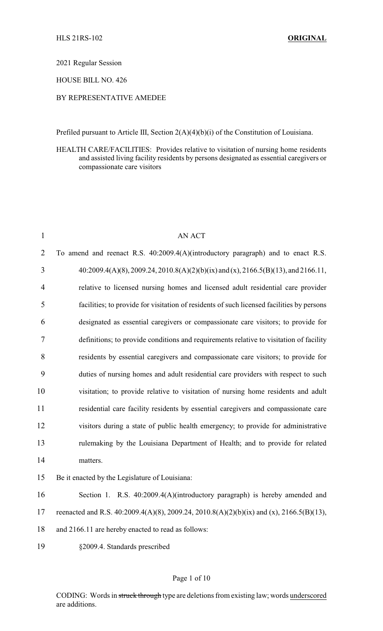2021 Regular Session

HOUSE BILL NO. 426

## BY REPRESENTATIVE AMEDEE

Prefiled pursuant to Article III, Section 2(A)(4)(b)(i) of the Constitution of Louisiana.

HEALTH CARE/FACILITIES: Provides relative to visitation of nursing home residents and assisted living facility residents by persons designated as essential caregivers or compassionate care visitors

| $\mathbf{1}$   | <b>AN ACT</b>                                                                             |
|----------------|-------------------------------------------------------------------------------------------|
| $\overline{2}$ | To amend and reenact R.S. 40:2009.4(A)(introductory paragraph) and to enact R.S.          |
| 3              | 40:2009.4(A)(8), 2009.24, 2010.8(A)(2)(b)(ix) and (x), 2166.5(B)(13), and 2166.11,        |
| $\overline{4}$ | relative to licensed nursing homes and licensed adult residential care provider           |
| 5              | facilities; to provide for visitation of residents of such licensed facilities by persons |
| 6              | designated as essential caregivers or compassionate care visitors; to provide for         |
| 7              | definitions; to provide conditions and requirements relative to visitation of facility    |
| 8              | residents by essential caregivers and compassionate care visitors; to provide for         |
| 9              | duties of nursing homes and adult residential care providers with respect to such         |
| 10             | visitation; to provide relative to visitation of nursing home residents and adult         |
| 11             | residential care facility residents by essential caregivers and compassionate care        |
| 12             | visitors during a state of public health emergency; to provide for administrative         |
| 13             | rulemaking by the Louisiana Department of Health; and to provide for related              |
| 14             | matters.                                                                                  |
| 15             | Be it enacted by the Legislature of Louisiana:                                            |
| 16             | Section 1. R.S. 40:2009.4(A)(introductory paragraph) is hereby amended and                |
| 17             | reenacted and R.S. 40:2009.4(A)(8), 2009.24, 2010.8(A)(2)(b)(ix) and (x), 2166.5(B)(13),  |
| 18             | and 2166.11 are hereby enacted to read as follows:                                        |
| 19             | §2009.4. Standards prescribed                                                             |
|                |                                                                                           |

## Page 1 of 10

CODING: Words in struck through type are deletions from existing law; words underscored are additions.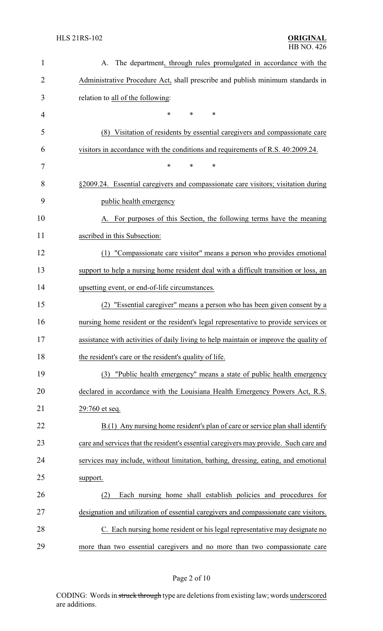| $\mathbf{1}$ | The department, through rules promulgated in accordance with the<br>A.                |
|--------------|---------------------------------------------------------------------------------------|
| 2            | Administrative Procedure Act, shall prescribe and publish minimum standards in        |
| 3            | relation to all of the following:                                                     |
| 4            | $\ast$<br>*<br>*                                                                      |
| 5            | Visitation of residents by essential caregivers and compassionate care<br>(8)         |
| 6            | visitors in accordance with the conditions and requirements of R.S. 40:2009.24.       |
| 7            | *<br>*<br>*                                                                           |
| 8            | §2009.24. Essential caregivers and compassionate care visitors; visitation during     |
| 9            | public health emergency                                                               |
| 10           | A. For purposes of this Section, the following terms have the meaning                 |
| 11           | ascribed in this Subsection:                                                          |
| 12           | "Compassionate care visitor" means a person who provides emotional<br>(1)             |
| 13           | support to help a nursing home resident deal with a difficult transition or loss, an  |
| 14           | upsetting event, or end-of-life circumstances.                                        |
| 15           | "Essential caregiver" means a person who has been given consent by a<br>(2)           |
| 16           | nursing home resident or the resident's legal representative to provide services or   |
| 17           | assistance with activities of daily living to help maintain or improve the quality of |
| 18           | the resident's care or the resident's quality of life.                                |
| 19           | (3) "Public health emergency" means a state of public health emergency                |
| 20           | declared in accordance with the Louisiana Health Emergency Powers Act, R.S.           |
| 21           | 29:760 et seq.                                                                        |
| 22           | B.(1) Any nursing home resident's plan of care or service plan shall identify         |
| 23           | care and services that the resident's essential caregivers may provide. Such care and |
| 24           | services may include, without limitation, bathing, dressing, eating, and emotional    |
| 25           | support.                                                                              |
| 26           | Each nursing home shall establish policies and procedures for<br>(2)                  |
| 27           | designation and utilization of essential caregivers and compassionate care visitors.  |
| 28           | C. Each nursing home resident or his legal representative may designate no            |
| 29           | more than two essential caregivers and no more than two compassionate care            |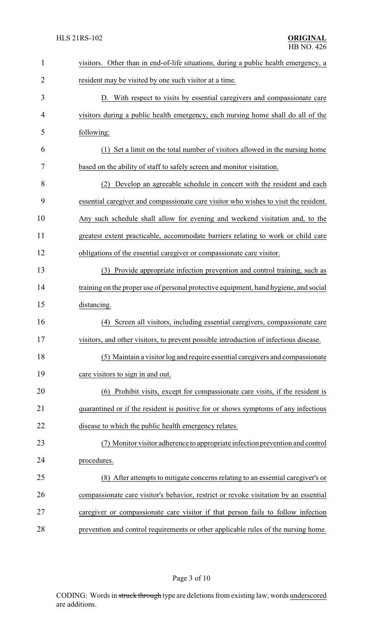| $\mathbf{1}$ | visitors. Other than in end-of-life situations, during a public health emergency, a   |
|--------------|---------------------------------------------------------------------------------------|
| 2            | resident may be visited by one such visitor at a time.                                |
| 3            | D. With respect to visits by essential caregivers and compassionate care              |
| 4            | visitors during a public health emergency, each nursing home shall do all of the      |
| 5            | following:                                                                            |
| 6            | Set a limit on the total number of visitors allowed in the nursing home               |
| 7            | based on the ability of staff to safely screen and monitor visitation.                |
| 8            | (2) Develop an agreeable schedule in concert with the resident and each               |
| 9            | essential caregiver and compassionate care visitor who wishes to visit the resident.  |
| 10           | Any such schedule shall allow for evening and weekend visitation and, to the          |
| 11           | greatest extent practicable, accommodate barriers relating to work or child care      |
| 12           | obligations of the essential caregiver or compassionate care visitor.                 |
| 13           | Provide appropriate infection prevention and control training, such as<br>(3)         |
| 14           | training on the proper use of personal protective equipment, hand hygiene, and social |
| 15           | distancing.                                                                           |
| 16           | Screen all visitors, including essential caregivers, compassionate care<br>(4)        |
| 17           | visitors, and other visitors, to prevent possible introduction of infectious disease  |
| 18           | (5) Maintain a visitor log and require essential caregivers and compassionate         |
| 19           | care visitors to sign in and out.                                                     |
| 20           | (6) Prohibit visits, except for compassionate care visits, if the resident is         |
| 21           | quarantined or if the resident is positive for or shows symptoms of any infectious    |
| 22           | disease to which the public health emergency relates.                                 |
| 23           | (7) Monitor visitor adherence to appropriate infection prevention and control         |
| 24           | procedures.                                                                           |
| 25           | (8) After attempts to mitigate concerns relating to an essential caregiver's or       |
| 26           | compassionate care visitor's behavior, restrict or revoke visitation by an essential  |
| 27           | caregiver or compassionate care visitor if that person fails to follow infection      |
| 28           | prevention and control requirements or other applicable rules of the nursing home.    |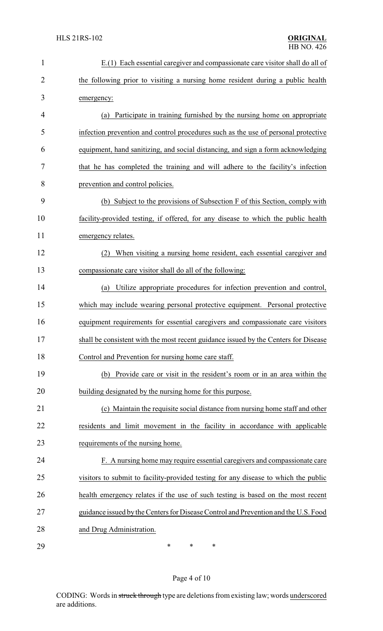| $\mathbf{1}$   | E.(1) Each essential caregiver and compassionate care visitor shall do all of       |
|----------------|-------------------------------------------------------------------------------------|
| $\overline{2}$ | the following prior to visiting a nursing home resident during a public health      |
| 3              | emergency:                                                                          |
| 4              | Participate in training furnished by the nursing home on appropriate<br>(a)         |
| 5              | infection prevention and control procedures such as the use of personal protective  |
| 6              | equipment, hand sanitizing, and social distancing, and sign a form acknowledging    |
| 7              | that he has completed the training and will adhere to the facility's infection      |
| 8              | prevention and control policies.                                                    |
| 9              | (b) Subject to the provisions of Subsection F of this Section, comply with          |
| 10             | facility-provided testing, if offered, for any disease to which the public health   |
| 11             | emergency relates.                                                                  |
| 12             | When visiting a nursing home resident, each essential caregiver and<br>(2)          |
| 13             | compassionate care visitor shall do all of the following:                           |
| 14             | Utilize appropriate procedures for infection prevention and control,<br>(a)         |
| 15             | which may include wearing personal protective equipment. Personal protective        |
| 16             | equipment requirements for essential caregivers and compassionate care visitors     |
| 17             | shall be consistent with the most recent guidance issued by the Centers for Disease |
| 18             | Control and Prevention for nursing home care staff.                                 |
| 19             | Provide care or visit in the resident's room or in an area within the<br>(b)        |
| 20             | building designated by the nursing home for this purpose.                           |
| 21             | (c) Maintain the requisite social distance from nursing home staff and other        |
| 22             | residents and limit movement in the facility in accordance with applicable          |
| 23             | requirements of the nursing home.                                                   |
| 24             | F. A nursing home may require essential caregivers and compassionate care           |
| 25             | visitors to submit to facility-provided testing for any disease to which the public |
| 26             | health emergency relates if the use of such testing is based on the most recent     |
| 27             | guidance issued by the Centers for Disease Control and Prevention and the U.S. Food |
| 28             | and Drug Administration.                                                            |
| 29             | ∗<br>*<br>∗                                                                         |

Page 4 of 10

CODING: Words in struck through type are deletions from existing law; words underscored are additions.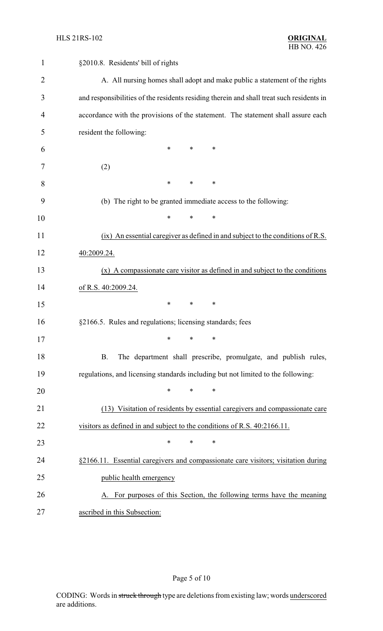| $\mathbf{1}$   | §2010.8. Residents' bill of rights                                                       |
|----------------|------------------------------------------------------------------------------------------|
| $\overline{2}$ | A. All nursing homes shall adopt and make public a statement of the rights               |
| 3              | and responsibilities of the residents residing therein and shall treat such residents in |
| 4              | accordance with the provisions of the statement. The statement shall assure each         |
| 5              | resident the following:                                                                  |
| 6              | $\ast$<br>$\ast$<br>∗                                                                    |
| 7              | (2)                                                                                      |
| 8              | $\ast$<br>$\ast$<br>$\ast$                                                               |
| 9              | (b) The right to be granted immediate access to the following:                           |
| 10             | $\ast$<br>$\ast$<br>*                                                                    |
| 11             | (ix) An essential caregiver as defined in and subject to the conditions of R.S.          |
| 12             | 40:2009.24.                                                                              |
| 13             | $(x)$ A compassionate care visitor as defined in and subject to the conditions           |
| 14             | of R.S. 40:2009.24.                                                                      |
| 15             | $\ast$<br>∗<br>∗                                                                         |
| 16             | §2166.5. Rules and regulations; licensing standards; fees                                |
| 17             | ∗<br>∗<br>∗                                                                              |
| 18             | The department shall prescribe, promulgate, and publish rules,<br>B.                     |
| 19             | regulations, and licensing standards including but not limited to the following:         |
| 20             | $\ast$<br>*<br>$\ast$                                                                    |
| 21             | (13) Visitation of residents by essential caregivers and compassionate care              |
| 22             | visitors as defined in and subject to the conditions of R.S. 40:2166.11.                 |
| 23             | $\ast$<br>∗<br>∗                                                                         |
| 24             | §2166.11. Essential caregivers and compassionate care visitors; visitation during        |
| 25             | public health emergency                                                                  |
| 26             | A. For purposes of this Section, the following terms have the meaning                    |
| 27             | ascribed in this Subsection:                                                             |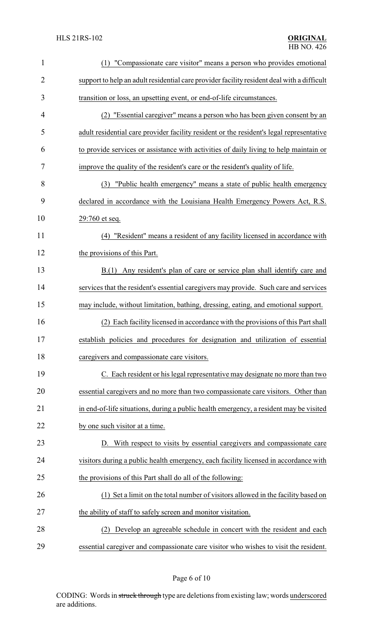| $\mathbf{1}$   | (1) "Compassionate care visitor" means a person who provides emotional                     |
|----------------|--------------------------------------------------------------------------------------------|
| $\overline{2}$ | support to help an adult residential care provider facility resident deal with a difficult |
| 3              | transition or loss, an upsetting event, or end-of-life circumstances.                      |
| 4              | "Essential caregiver" means a person who has been given consent by an                      |
| 5              | adult residential care provider facility resident or the resident's legal representative   |
| 6              | to provide services or assistance with activities of daily living to help maintain or      |
| 7              | improve the quality of the resident's care or the resident's quality of life.              |
| 8              | (3) "Public health emergency" means a state of public health emergency                     |
| 9              | declared in accordance with the Louisiana Health Emergency Powers Act, R.S.                |
| 10             | 29:760 et seq.                                                                             |
| 11             | (4) "Resident" means a resident of any facility licensed in accordance with                |
| 12             | the provisions of this Part.                                                               |
| 13             | Any resident's plan of care or service plan shall identify care and<br>B(1)                |
| 14             | services that the resident's essential caregivers may provide. Such care and services      |
| 15             | may include, without limitation, bathing, dressing, eating, and emotional support.         |
| 16             | (2) Each facility licensed in accordance with the provisions of this Part shall            |
| 17             | establish policies and procedures for designation and utilization of essential             |
| 18             | caregivers and compassionate care visitors.                                                |
| 19             | C. Each resident or his legal representative may designate no more than two                |
| 20             | essential caregivers and no more than two compassionate care visitors. Other than          |
| 21             | in end-of-life situations, during a public health emergency, a resident may be visited     |
| 22             | by one such visitor at a time.                                                             |
| 23             | D. With respect to visits by essential caregivers and compassionate care                   |
| 24             | visitors during a public health emergency, each facility licensed in accordance with       |
| 25             | the provisions of this Part shall do all of the following:                                 |
| 26             | (1) Set a limit on the total number of visitors allowed in the facility based on           |
| 27             | the ability of staff to safely screen and monitor visitation.                              |
| 28             | Develop an agreeable schedule in concert with the resident and each<br>(2)                 |
| 29             | essential caregiver and compassionate care visitor who wishes to visit the resident.       |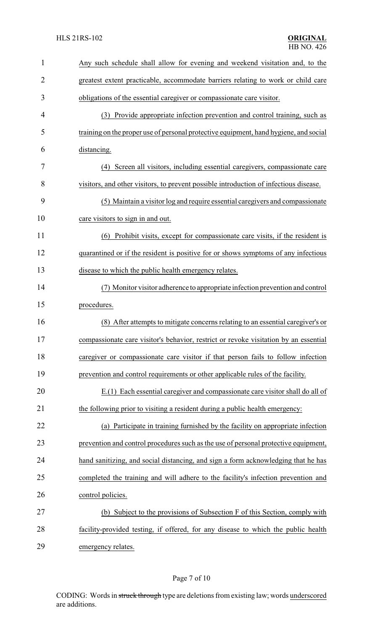| $\mathbf{1}$   | Any such schedule shall allow for evening and weekend visitation and, to the          |
|----------------|---------------------------------------------------------------------------------------|
| $\overline{2}$ | greatest extent practicable, accommodate barriers relating to work or child care      |
| 3              | obligations of the essential caregiver or compassionate care visitor.                 |
| 4              | (3) Provide appropriate infection prevention and control training, such as            |
| 5              | training on the proper use of personal protective equipment, hand hygiene, and social |
| 6              | distancing.                                                                           |
| 7              | (4) Screen all visitors, including essential caregivers, compassionate care           |
| 8              | visitors, and other visitors, to prevent possible introduction of infectious disease. |
| 9              | (5) Maintain a visitor log and require essential caregivers and compassionate         |
| 10             | care visitors to sign in and out.                                                     |
| 11             | (6) Prohibit visits, except for compassionate care visits, if the resident is         |
| 12             | quarantined or if the resident is positive for or shows symptoms of any infectious    |
| 13             | disease to which the public health emergency relates.                                 |
| 14             | (7) Monitor visitor adherence to appropriate infection prevention and control         |
| 15             | procedures.                                                                           |
| 16             | (8) After attempts to mitigate concerns relating to an essential caregiver's or       |
| 17             | compassionate care visitor's behavior, restrict or revoke visitation by an essential  |
| 18             | caregiver or compassionate care visitor if that person fails to follow infection      |
| 19             | prevention and control requirements or other applicable rules of the facility.        |
| 20             | E.(1) Each essential caregiver and compassionate care visitor shall do all of         |
| 21             | the following prior to visiting a resident during a public health emergency:          |
| 22             | (a) Participate in training furnished by the facility on appropriate infection        |
| 23             | prevention and control procedures such as the use of personal protective equipment,   |
| 24             | hand sanitizing, and social distancing, and sign a form acknowledging that he has     |
| 25             | completed the training and will adhere to the facility's infection prevention and     |
| 26             | control policies.                                                                     |
| 27             | (b) Subject to the provisions of Subsection F of this Section, comply with            |
| 28             | facility-provided testing, if offered, for any disease to which the public health     |
| 29             | emergency relates.                                                                    |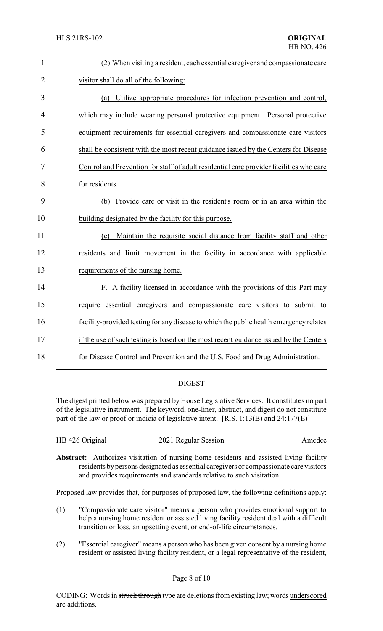| $\mathbf{1}$   | (2) When visiting a resident, each essential caregiver and compassionate care           |
|----------------|-----------------------------------------------------------------------------------------|
| $\overline{2}$ | visitor shall do all of the following:                                                  |
| 3              | (a) Utilize appropriate procedures for infection prevention and control,                |
| 4              | which may include wearing personal protective equipment. Personal protective            |
| 5              | equipment requirements for essential caregivers and compassionate care visitors         |
| 6              | shall be consistent with the most recent guidance issued by the Centers for Disease     |
| 7              | Control and Prevention for staff of adult residential care provider facilities who care |
| 8              | for residents.                                                                          |
| 9              | (b) Provide care or visit in the resident's room or in an area within the               |
| 10             | building designated by the facility for this purpose.                                   |
| 11             | Maintain the requisite social distance from facility staff and other<br>(c)             |
| 12             | residents and limit movement in the facility in accordance with applicable              |
| 13             | requirements of the nursing home.                                                       |
| 14             | F. A facility licensed in accordance with the provisions of this Part may               |
| 15             | require essential caregivers and compassionate care visitors to submit to               |
| 16             | facility-provided testing for any disease to which the public health emergency relates  |
| 17             | if the use of such testing is based on the most recent guidance issued by the Centers   |
| 18             | for Disease Control and Prevention and the U.S. Food and Drug Administration.           |

## DIGEST

The digest printed below was prepared by House Legislative Services. It constitutes no part of the legislative instrument. The keyword, one-liner, abstract, and digest do not constitute part of the law or proof or indicia of legislative intent. [R.S. 1:13(B) and 24:177(E)]

| HB 426 Original | 2021 Regular Session | Amedee |
|-----------------|----------------------|--------|
|                 |                      |        |

**Abstract:** Authorizes visitation of nursing home residents and assisted living facility residents bypersons designated as essential caregivers or compassionate care visitors and provides requirements and standards relative to such visitation.

Proposed law provides that, for purposes of proposed law, the following definitions apply:

- (1) "Compassionate care visitor" means a person who provides emotional support to help a nursing home resident or assisted living facility resident deal with a difficult transition or loss, an upsetting event, or end-of-life circumstances.
- (2) "Essential caregiver" means a person who has been given consent by a nursing home resident or assisted living facility resident, or a legal representative of the resident,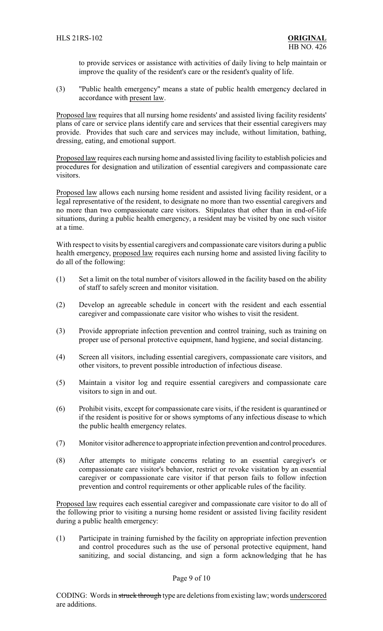to provide services or assistance with activities of daily living to help maintain or improve the quality of the resident's care or the resident's quality of life.

(3) "Public health emergency" means a state of public health emergency declared in accordance with present law.

Proposed law requires that all nursing home residents' and assisted living facility residents' plans of care or service plans identify care and services that their essential caregivers may provide. Provides that such care and services may include, without limitation, bathing, dressing, eating, and emotional support.

Proposed law requires each nursing home and assisted living facility to establish policies and procedures for designation and utilization of essential caregivers and compassionate care visitors.

Proposed law allows each nursing home resident and assisted living facility resident, or a legal representative of the resident, to designate no more than two essential caregivers and no more than two compassionate care visitors. Stipulates that other than in end-of-life situations, during a public health emergency, a resident may be visited by one such visitor at a time.

With respect to visits by essential caregivers and compassionate care visitors during a public health emergency, proposed law requires each nursing home and assisted living facility to do all of the following:

- (1) Set a limit on the total number of visitors allowed in the facility based on the ability of staff to safely screen and monitor visitation.
- (2) Develop an agreeable schedule in concert with the resident and each essential caregiver and compassionate care visitor who wishes to visit the resident.
- (3) Provide appropriate infection prevention and control training, such as training on proper use of personal protective equipment, hand hygiene, and social distancing.
- (4) Screen all visitors, including essential caregivers, compassionate care visitors, and other visitors, to prevent possible introduction of infectious disease.
- (5) Maintain a visitor log and require essential caregivers and compassionate care visitors to sign in and out.
- (6) Prohibit visits, except for compassionate care visits, if the resident is quarantined or if the resident is positive for or shows symptoms of any infectious disease to which the public health emergency relates.
- (7) Monitor visitor adherence to appropriate infection prevention and control procedures.
- (8) After attempts to mitigate concerns relating to an essential caregiver's or compassionate care visitor's behavior, restrict or revoke visitation by an essential caregiver or compassionate care visitor if that person fails to follow infection prevention and control requirements or other applicable rules of the facility.

Proposed law requires each essential caregiver and compassionate care visitor to do all of the following prior to visiting a nursing home resident or assisted living facility resident during a public health emergency:

(1) Participate in training furnished by the facility on appropriate infection prevention and control procedures such as the use of personal protective equipment, hand sanitizing, and social distancing, and sign a form acknowledging that he has

## Page 9 of 10